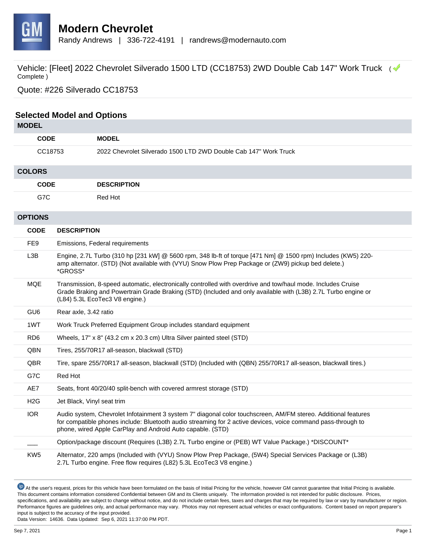

Randy Andrews | 336-722-4191 | randrews@modernauto.com

Vehicle: [Fleet] 2022 Chevrolet Silverado 1500 LTD (CC18753) 2WD Double Cab 147" Work Truck ( $\blacklozenge$ Complete )

Quote: #226 Silverado CC18753

| <b>Selected Model and Options</b> |                            |                                                                                                                                                                                                                                                                                              |  |  |  |
|-----------------------------------|----------------------------|----------------------------------------------------------------------------------------------------------------------------------------------------------------------------------------------------------------------------------------------------------------------------------------------|--|--|--|
| <b>MODEL</b>                      |                            |                                                                                                                                                                                                                                                                                              |  |  |  |
| <b>CODE</b>                       |                            | <b>MODEL</b>                                                                                                                                                                                                                                                                                 |  |  |  |
| CC18753                           |                            | 2022 Chevrolet Silverado 1500 LTD 2WD Double Cab 147" Work Truck                                                                                                                                                                                                                             |  |  |  |
| <b>COLORS</b>                     |                            |                                                                                                                                                                                                                                                                                              |  |  |  |
| <b>CODE</b>                       |                            | <b>DESCRIPTION</b>                                                                                                                                                                                                                                                                           |  |  |  |
| G7C                               |                            | <b>Red Hot</b>                                                                                                                                                                                                                                                                               |  |  |  |
| <b>OPTIONS</b>                    |                            |                                                                                                                                                                                                                                                                                              |  |  |  |
| <b>CODE</b>                       | <b>DESCRIPTION</b>         |                                                                                                                                                                                                                                                                                              |  |  |  |
| FE9                               |                            | Emissions, Federal requirements                                                                                                                                                                                                                                                              |  |  |  |
| L3B                               | *GROSS*                    | Engine, 2.7L Turbo (310 hp [231 kW] @ 5600 rpm, 348 lb-ft of torque [471 Nm] @ 1500 rpm) Includes (KW5) 220-<br>amp alternator. (STD) (Not available with (VYU) Snow Plow Prep Package or (ZW9) pickup bed delete.)                                                                          |  |  |  |
| <b>MQE</b>                        |                            | Transmission, 8-speed automatic, electronically controlled with overdrive and tow/haul mode. Includes Cruise<br>Grade Braking and Powertrain Grade Braking (STD) (Included and only available with (L3B) 2.7L Turbo engine or<br>(L84) 5.3L EcoTec3 V8 engine.)                              |  |  |  |
| GU <sub>6</sub>                   | Rear axle, 3.42 ratio      |                                                                                                                                                                                                                                                                                              |  |  |  |
| 1WT                               |                            | Work Truck Preferred Equipment Group includes standard equipment                                                                                                                                                                                                                             |  |  |  |
| RD <sub>6</sub>                   |                            | Wheels, 17" x 8" (43.2 cm x 20.3 cm) Ultra Silver painted steel (STD)                                                                                                                                                                                                                        |  |  |  |
| QBN                               |                            | Tires, 255/70R17 all-season, blackwall (STD)                                                                                                                                                                                                                                                 |  |  |  |
| QBR                               |                            | Tire, spare 255/70R17 all-season, blackwall (STD) (Included with (QBN) 255/70R17 all-season, blackwall tires.)                                                                                                                                                                               |  |  |  |
| G7C                               | Red Hot                    |                                                                                                                                                                                                                                                                                              |  |  |  |
| AE7                               |                            | Seats, front 40/20/40 split-bench with covered armrest storage (STD)                                                                                                                                                                                                                         |  |  |  |
| H <sub>2</sub> G                  | Jet Black, Vinyl seat trim |                                                                                                                                                                                                                                                                                              |  |  |  |
| <b>IOR</b>                        |                            | Audio system, Chevrolet Infotainment 3 system 7" diagonal color touchscreen, AM/FM stereo. Additional features<br>for compatible phones include: Bluetooth audio streaming for 2 active devices, voice command pass-through to<br>phone, wired Apple CarPlay and Android Auto capable. (STD) |  |  |  |
|                                   |                            | Option/package discount (Requires (L3B) 2.7L Turbo engine or (PEB) WT Value Package.) *DISCOUNT*                                                                                                                                                                                             |  |  |  |
| KW <sub>5</sub>                   |                            | Alternator, 220 amps (Included with (VYU) Snow Plow Prep Package, (5W4) Special Services Package or (L3B)<br>2.7L Turbo engine. Free flow requires (L82) 5.3L EcoTec3 V8 engine.)                                                                                                            |  |  |  |

<sup>1</sup> At the user's request, prices for this vehicle have been formulated on the basis of Initial Pricing for the vehicle, however GM cannot guarantee that Initial Pricing is available. This document contains information considered Confidential between GM and its Clients uniquely. The information provided is not intended for public disclosure. Prices, specifications, and availability are subject to change without notice, and do not include certain fees, taxes and charges that may be required by law or vary by manufacturer or region. Performance figures are guidelines only, and actual performance may vary. Photos may not represent actual vehicles or exact configurations. Content based on report preparer's input is subject to the accuracy of the input provided.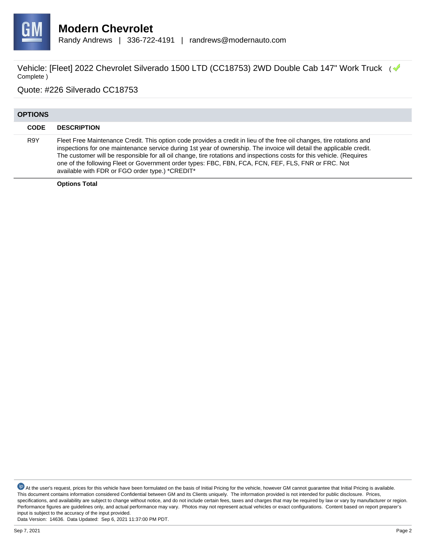

Randy Andrews | 336-722-4191 | randrews@modernauto.com

Vehicle: [Fleet] 2022 Chevrolet Silverado 1500 LTD (CC18753) 2WD Double Cab 147" Work Truck ( $\blacklozenge$ Complete )

Quote: #226 Silverado CC18753

| <b>OPTIONS</b> |                                                                                                                                                                                                                                                                                                                                                                                                                                                                                                                                  |
|----------------|----------------------------------------------------------------------------------------------------------------------------------------------------------------------------------------------------------------------------------------------------------------------------------------------------------------------------------------------------------------------------------------------------------------------------------------------------------------------------------------------------------------------------------|
| <b>CODE</b>    | <b>DESCRIPTION</b>                                                                                                                                                                                                                                                                                                                                                                                                                                                                                                               |
| R9Y            | Fleet Free Maintenance Credit. This option code provides a credit in lieu of the free oil changes, tire rotations and<br>inspections for one maintenance service during 1st year of ownership. The invoice will detail the applicable credit.<br>The customer will be responsible for all oil change, tire rotations and inspections costs for this vehicle. (Requires<br>one of the following Fleet or Government order types: FBC, FBN, FCA, FCN, FEF, FLS, FNR or FRC. Not<br>available with FDR or FGO order type.) *CREDIT* |
|                | <b>Options Total</b>                                                                                                                                                                                                                                                                                                                                                                                                                                                                                                             |

<sup>1</sup> At the user's request, prices for this vehicle have been formulated on the basis of Initial Pricing for the vehicle, however GM cannot guarantee that Initial Pricing is available. This document contains information considered Confidential between GM and its Clients uniquely. The information provided is not intended for public disclosure. Prices, specifications, and availability are subject to change without notice, and do not include certain fees, taxes and charges that may be required by law or vary by manufacturer or region. Performance figures are guidelines only, and actual performance may vary. Photos may not represent actual vehicles or exact configurations. Content based on report preparer's input is subject to the accuracy of the input provided.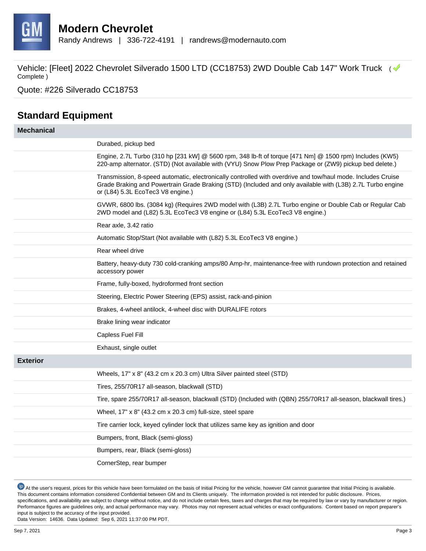

Randy Andrews | 336-722-4191 | randrews@modernauto.com

Vehicle: [Fleet] 2022 Chevrolet Silverado 1500 LTD (CC18753) 2WD Double Cab 147" Work Truck ( $\blacklozenge$ Complete )

Quote: #226 Silverado CC18753

#### **Standard Equipment**

| <b>Mechanical</b> |                                                                                                                                                                                                                                                                 |
|-------------------|-----------------------------------------------------------------------------------------------------------------------------------------------------------------------------------------------------------------------------------------------------------------|
|                   | Durabed, pickup bed                                                                                                                                                                                                                                             |
|                   | Engine, 2.7L Turbo (310 hp [231 kW] @ 5600 rpm, 348 lb-ft of torque [471 Nm] @ 1500 rpm) Includes (KW5)<br>220-amp alternator. (STD) (Not available with (VYU) Snow Plow Prep Package or (ZW9) pickup bed delete.)                                              |
|                   | Transmission, 8-speed automatic, electronically controlled with overdrive and tow/haul mode. Includes Cruise<br>Grade Braking and Powertrain Grade Braking (STD) (Included and only available with (L3B) 2.7L Turbo engine<br>or (L84) 5.3L EcoTec3 V8 engine.) |
|                   | GVWR, 6800 lbs. (3084 kg) (Requires 2WD model with (L3B) 2.7L Turbo engine or Double Cab or Regular Cab<br>2WD model and (L82) 5.3L EcoTec3 V8 engine or (L84) 5.3L EcoTec3 V8 engine.)                                                                         |
|                   | Rear axle, 3.42 ratio                                                                                                                                                                                                                                           |
|                   | Automatic Stop/Start (Not available with (L82) 5.3L EcoTec3 V8 engine.)                                                                                                                                                                                         |
|                   | Rear wheel drive                                                                                                                                                                                                                                                |
|                   | Battery, heavy-duty 730 cold-cranking amps/80 Amp-hr, maintenance-free with rundown protection and retained<br>accessory power                                                                                                                                  |
|                   | Frame, fully-boxed, hydroformed front section                                                                                                                                                                                                                   |
|                   | Steering, Electric Power Steering (EPS) assist, rack-and-pinion                                                                                                                                                                                                 |
|                   | Brakes, 4-wheel antilock, 4-wheel disc with DURALIFE rotors                                                                                                                                                                                                     |
|                   | Brake lining wear indicator                                                                                                                                                                                                                                     |
|                   | Capless Fuel Fill                                                                                                                                                                                                                                               |
|                   | Exhaust, single outlet                                                                                                                                                                                                                                          |
| <b>Exterior</b>   |                                                                                                                                                                                                                                                                 |
|                   | Wheels, 17" x 8" (43.2 cm x 20.3 cm) Ultra Silver painted steel (STD)                                                                                                                                                                                           |
|                   | Tires, 255/70R17 all-season, blackwall (STD)                                                                                                                                                                                                                    |
|                   | Tire, spare 255/70R17 all-season, blackwall (STD) (Included with (QBN) 255/70R17 all-season, blackwall tires.)                                                                                                                                                  |
|                   | Wheel, 17" x 8" (43.2 cm x 20.3 cm) full-size, steel spare                                                                                                                                                                                                      |
|                   | Tire carrier lock, keyed cylinder lock that utilizes same key as ignition and door                                                                                                                                                                              |
|                   | Bumpers, front, Black (semi-gloss)                                                                                                                                                                                                                              |
|                   | Bumpers, rear, Black (semi-gloss)                                                                                                                                                                                                                               |
|                   | CornerStep, rear bumper                                                                                                                                                                                                                                         |

<sup>1</sup> At the user's request, prices for this vehicle have been formulated on the basis of Initial Pricing for the vehicle, however GM cannot guarantee that Initial Pricing is available. This document contains information considered Confidential between GM and its Clients uniquely. The information provided is not intended for public disclosure. Prices, specifications, and availability are subject to change without notice, and do not include certain fees, taxes and charges that may be required by law or vary by manufacturer or region. Performance figures are guidelines only, and actual performance may vary. Photos may not represent actual vehicles or exact configurations. Content based on report preparer's input is subject to the accuracy of the input provided.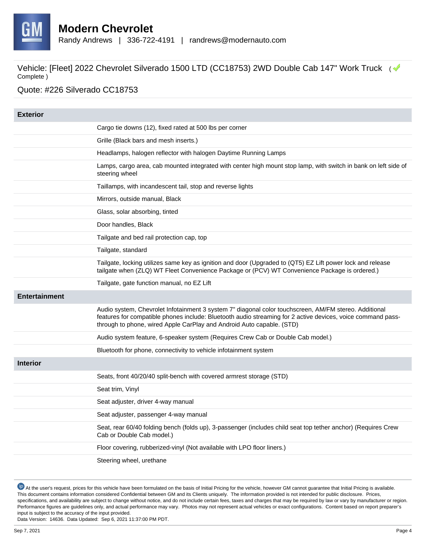

Randy Andrews | 336-722-4191 | randrews@modernauto.com

Vehicle: [Fleet] 2022 Chevrolet Silverado 1500 LTD (CC18753) 2WD Double Cab 147" Work Truck ( $\blacklozenge$ Complete )

#### Quote: #226 Silverado CC18753

| <b>Exterior</b>      |                                                                                                                                                                                                                                                                                               |
|----------------------|-----------------------------------------------------------------------------------------------------------------------------------------------------------------------------------------------------------------------------------------------------------------------------------------------|
|                      | Cargo tie downs (12), fixed rated at 500 lbs per corner                                                                                                                                                                                                                                       |
|                      | Grille (Black bars and mesh inserts.)                                                                                                                                                                                                                                                         |
|                      | Headlamps, halogen reflector with halogen Daytime Running Lamps                                                                                                                                                                                                                               |
|                      | Lamps, cargo area, cab mounted integrated with center high mount stop lamp, with switch in bank on left side of<br>steering wheel                                                                                                                                                             |
|                      | Taillamps, with incandescent tail, stop and reverse lights                                                                                                                                                                                                                                    |
|                      | Mirrors, outside manual, Black                                                                                                                                                                                                                                                                |
|                      | Glass, solar absorbing, tinted                                                                                                                                                                                                                                                                |
|                      | Door handles, Black                                                                                                                                                                                                                                                                           |
|                      | Tailgate and bed rail protection cap, top                                                                                                                                                                                                                                                     |
|                      | Tailgate, standard                                                                                                                                                                                                                                                                            |
|                      | Tailgate, locking utilizes same key as ignition and door (Upgraded to (QT5) EZ Lift power lock and release<br>tailgate when (ZLQ) WT Fleet Convenience Package or (PCV) WT Convenience Package is ordered.)                                                                                   |
|                      | Tailgate, gate function manual, no EZ Lift                                                                                                                                                                                                                                                    |
| <b>Entertainment</b> |                                                                                                                                                                                                                                                                                               |
|                      | Audio system, Chevrolet Infotainment 3 system 7" diagonal color touchscreen, AM/FM stereo. Additional<br>features for compatible phones include: Bluetooth audio streaming for 2 active devices, voice command pass-<br>through to phone, wired Apple CarPlay and Android Auto capable. (STD) |
|                      | Audio system feature, 6-speaker system (Requires Crew Cab or Double Cab model.)                                                                                                                                                                                                               |
|                      | Bluetooth for phone, connectivity to vehicle infotainment system                                                                                                                                                                                                                              |
| <b>Interior</b>      |                                                                                                                                                                                                                                                                                               |
|                      | Seats, front 40/20/40 split-bench with covered armrest storage (STD)                                                                                                                                                                                                                          |
|                      | Seat trim, Vinyl                                                                                                                                                                                                                                                                              |
|                      | Seat adjuster, driver 4-way manual                                                                                                                                                                                                                                                            |
|                      | Seat adjuster, passenger 4-way manual                                                                                                                                                                                                                                                         |
|                      | Seat, rear 60/40 folding bench (folds up), 3-passenger (includes child seat top tether anchor) (Requires Crew<br>Cab or Double Cab model.)                                                                                                                                                    |
|                      | Floor covering, rubberized-vinyl (Not available with LPO floor liners.)                                                                                                                                                                                                                       |
|                      | Steering wheel, urethane                                                                                                                                                                                                                                                                      |

<sup>1</sup> At the user's request, prices for this vehicle have been formulated on the basis of Initial Pricing for the vehicle, however GM cannot guarantee that Initial Pricing is available. This document contains information considered Confidential between GM and its Clients uniquely. The information provided is not intended for public disclosure. Prices, specifications, and availability are subject to change without notice, and do not include certain fees, taxes and charges that may be required by law or vary by manufacturer or region. Performance figures are guidelines only, and actual performance may vary. Photos may not represent actual vehicles or exact configurations. Content based on report preparer's input is subject to the accuracy of the input provided.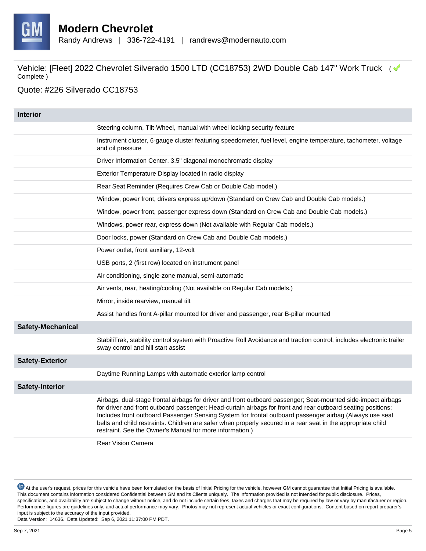

Randy Andrews | 336-722-4191 | randrews@modernauto.com

Vehicle: [Fleet] 2022 Chevrolet Silverado 1500 LTD (CC18753) 2WD Double Cab 147" Work Truck ( $\blacklozenge$ Complete )

Quote: #226 Silverado CC18753

| <b>Interior</b>          |                                                                                                                                                                                                                                                                                                                                                                                                                                                                                                                      |
|--------------------------|----------------------------------------------------------------------------------------------------------------------------------------------------------------------------------------------------------------------------------------------------------------------------------------------------------------------------------------------------------------------------------------------------------------------------------------------------------------------------------------------------------------------|
|                          | Steering column, Tilt-Wheel, manual with wheel locking security feature                                                                                                                                                                                                                                                                                                                                                                                                                                              |
|                          | Instrument cluster, 6-gauge cluster featuring speedometer, fuel level, engine temperature, tachometer, voltage<br>and oil pressure                                                                                                                                                                                                                                                                                                                                                                                   |
|                          | Driver Information Center, 3.5" diagonal monochromatic display                                                                                                                                                                                                                                                                                                                                                                                                                                                       |
|                          | Exterior Temperature Display located in radio display                                                                                                                                                                                                                                                                                                                                                                                                                                                                |
|                          | Rear Seat Reminder (Requires Crew Cab or Double Cab model.)                                                                                                                                                                                                                                                                                                                                                                                                                                                          |
|                          | Window, power front, drivers express up/down (Standard on Crew Cab and Double Cab models.)                                                                                                                                                                                                                                                                                                                                                                                                                           |
|                          | Window, power front, passenger express down (Standard on Crew Cab and Double Cab models.)                                                                                                                                                                                                                                                                                                                                                                                                                            |
|                          | Windows, power rear, express down (Not available with Regular Cab models.)                                                                                                                                                                                                                                                                                                                                                                                                                                           |
|                          | Door locks, power (Standard on Crew Cab and Double Cab models.)                                                                                                                                                                                                                                                                                                                                                                                                                                                      |
|                          | Power outlet, front auxiliary, 12-volt                                                                                                                                                                                                                                                                                                                                                                                                                                                                               |
|                          | USB ports, 2 (first row) located on instrument panel                                                                                                                                                                                                                                                                                                                                                                                                                                                                 |
|                          | Air conditioning, single-zone manual, semi-automatic                                                                                                                                                                                                                                                                                                                                                                                                                                                                 |
|                          | Air vents, rear, heating/cooling (Not available on Regular Cab models.)                                                                                                                                                                                                                                                                                                                                                                                                                                              |
|                          | Mirror, inside rearview, manual tilt                                                                                                                                                                                                                                                                                                                                                                                                                                                                                 |
|                          | Assist handles front A-pillar mounted for driver and passenger, rear B-pillar mounted                                                                                                                                                                                                                                                                                                                                                                                                                                |
| <b>Safety-Mechanical</b> |                                                                                                                                                                                                                                                                                                                                                                                                                                                                                                                      |
|                          | StabiliTrak, stability control system with Proactive Roll Avoidance and traction control, includes electronic trailer<br>sway control and hill start assist                                                                                                                                                                                                                                                                                                                                                          |
| <b>Safety-Exterior</b>   |                                                                                                                                                                                                                                                                                                                                                                                                                                                                                                                      |
|                          | Daytime Running Lamps with automatic exterior lamp control                                                                                                                                                                                                                                                                                                                                                                                                                                                           |
| <b>Safety-Interior</b>   |                                                                                                                                                                                                                                                                                                                                                                                                                                                                                                                      |
|                          | Airbags, dual-stage frontal airbags for driver and front outboard passenger; Seat-mounted side-impact airbags<br>for driver and front outboard passenger; Head-curtain airbags for front and rear outboard seating positions;<br>Includes front outboard Passenger Sensing System for frontal outboard passenger airbag (Always use seat<br>belts and child restraints. Children are safer when properly secured in a rear seat in the appropriate child<br>restraint. See the Owner's Manual for more information.) |
|                          | <b>Rear Vision Camera</b>                                                                                                                                                                                                                                                                                                                                                                                                                                                                                            |

<sup>1</sup> At the user's request, prices for this vehicle have been formulated on the basis of Initial Pricing for the vehicle, however GM cannot guarantee that Initial Pricing is available. This document contains information considered Confidential between GM and its Clients uniquely. The information provided is not intended for public disclosure. Prices, specifications, and availability are subject to change without notice, and do not include certain fees, taxes and charges that may be required by law or vary by manufacturer or region. Performance figures are guidelines only, and actual performance may vary. Photos may not represent actual vehicles or exact configurations. Content based on report preparer's input is subject to the accuracy of the input provided.